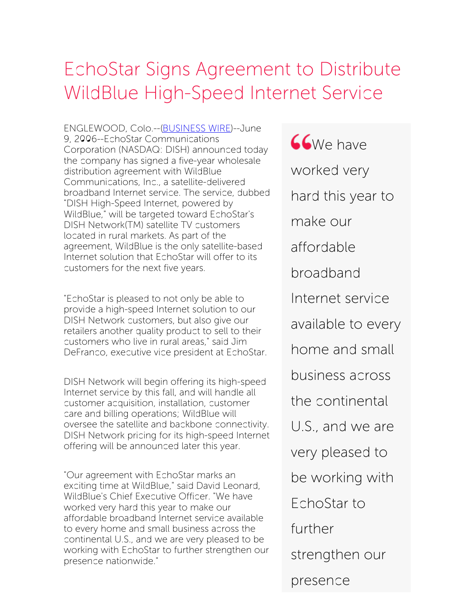## EchoStar Signs Agreement to Distribute WildBlue High-Speed Internet Service

ENGLEWOOD, Colo.--[\(BUSINESS](http://www.businesswire.com/) WIRE)--June 9, 2006--EchoStar Communications Corporation (NASDAQ: DISH) announced today the company has signed a five-year wholesale distribution agreement with WildBlue Communications, Inc., a satellite-delivered broadband Internet service. The service, dubbed "DISH High-Speed Internet, powered by WildBlue," will be targeted toward EchoStar's DISH Network(TM) satellite TV customers located in rural markets. As part of the agreement, WildBlue is the only satellite-based Internet solution that EchoStar will offer to its customers for the next five years.

"EchoStar is pleased to not only be able to provide a high-speed Internet solution to our DISH Network customers, but also give our retailers another quality product to sell to their customers who live in rural areas," said Jim DeFranco, executive vice president at EchoStar.

DISH Network will begin offering its high-speed Internet service by this fall, and will handle all customer acquisition, installation, customer care and billing operations; WildBlue will oversee the satellite and backbone connectivity. DISH Network pricing for its high-speed Internet offering will be announced later this year.

"Our agreement with EchoStar marks an exciting time at WildBlue," said David Leonard, WildBlue's Chief Executive Officer. "We have worked very hard this year to make our affordable broadband Internet service available to every home and small business across the continental U.S., and we are very pleased to be working with EchoStar to further strengthen our presence nationwide."

*SCWe have* worked very hard this year to make our affordable broadband Internet service available to every home and small business across the continental U.S., and we are very pleased to be working with EchoStar to further strengthen our presence